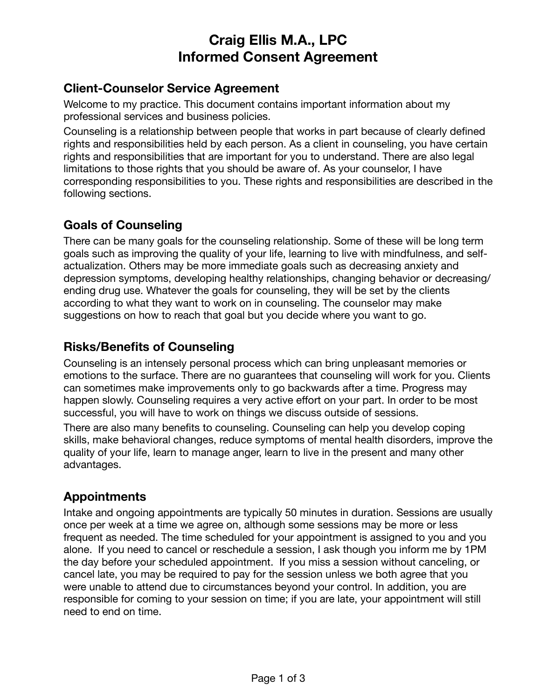# **Craig Ellis M.A., LPC Informed Consent Agreement**

#### **Client-Counselor Service Agreement**

Welcome to my practice. This document contains important information about my professional services and business policies.

Counseling is a relationship between people that works in part because of clearly defined rights and responsibilities held by each person. As a client in counseling, you have certain rights and responsibilities that are important for you to understand. There are also legal limitations to those rights that you should be aware of. As your counselor, I have corresponding responsibilities to you. These rights and responsibilities are described in the following sections.

## **Goals of Counseling**

There can be many goals for the counseling relationship. Some of these will be long term goals such as improving the quality of your life, learning to live with mindfulness, and selfactualization. Others may be more immediate goals such as decreasing anxiety and depression symptoms, developing healthy relationships, changing behavior or decreasing/ ending drug use. Whatever the goals for counseling, they will be set by the clients according to what they want to work on in counseling. The counselor may make suggestions on how to reach that goal but you decide where you want to go.

## **Risks/Benefits of Counseling**

Counseling is an intensely personal process which can bring unpleasant memories or emotions to the surface. There are no guarantees that counseling will work for you. Clients can sometimes make improvements only to go backwards after a time. Progress may happen slowly. Counseling requires a very active effort on your part. In order to be most successful, you will have to work on things we discuss outside of sessions.

There are also many benefits to counseling. Counseling can help you develop coping skills, make behavioral changes, reduce symptoms of mental health disorders, improve the quality of your life, learn to manage anger, learn to live in the present and many other advantages.

## **Appointments**

Intake and ongoing appointments are typically 50 minutes in duration. Sessions are usually once per week at a time we agree on, although some sessions may be more or less frequent as needed. The time scheduled for your appointment is assigned to you and you alone. If you need to cancel or reschedule a session, I ask though you inform me by 1PM the day before your scheduled appointment. If you miss a session without canceling, or cancel late, you may be required to pay for the session unless we both agree that you were unable to attend due to circumstances beyond your control. In addition, you are responsible for coming to your session on time; if you are late, your appointment will still need to end on time.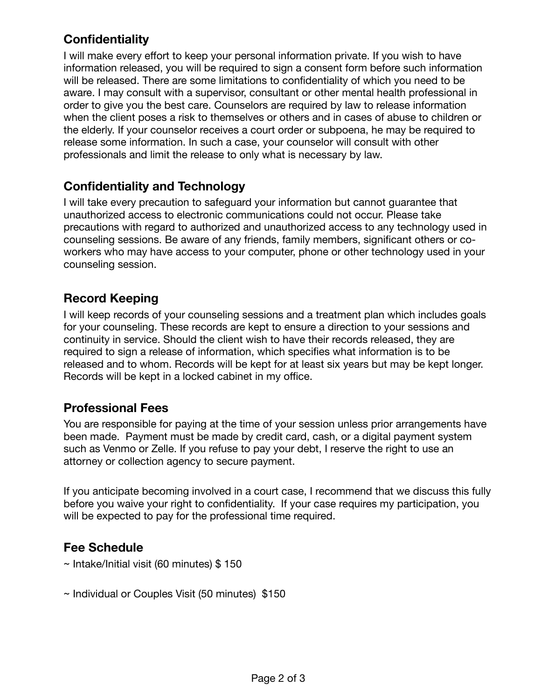# **Confidentiality**

I will make every effort to keep your personal information private. If you wish to have information released, you will be required to sign a consent form before such information will be released. There are some limitations to confidentiality of which you need to be aware. I may consult with a supervisor, consultant or other mental health professional in order to give you the best care. Counselors are required by law to release information when the client poses a risk to themselves or others and in cases of abuse to children or the elderly. If your counselor receives a court order or subpoena, he may be required to release some information. In such a case, your counselor will consult with other professionals and limit the release to only what is necessary by law.

## **Confidentiality and Technology**

I will take every precaution to safeguard your information but cannot guarantee that unauthorized access to electronic communications could not occur. Please take precautions with regard to authorized and unauthorized access to any technology used in counseling sessions. Be aware of any friends, family members, significant others or coworkers who may have access to your computer, phone or other technology used in your counseling session.

### **Record Keeping**

I will keep records of your counseling sessions and a treatment plan which includes goals for your counseling. These records are kept to ensure a direction to your sessions and continuity in service. Should the client wish to have their records released, they are required to sign a release of information, which specifies what information is to be released and to whom. Records will be kept for at least six years but may be kept longer. Records will be kept in a locked cabinet in my office.

#### **Professional Fees**

You are responsible for paying at the time of your session unless prior arrangements have been made. Payment must be made by credit card, cash, or a digital payment system such as Venmo or Zelle. If you refuse to pay your debt, I reserve the right to use an attorney or collection agency to secure payment.

If you anticipate becoming involved in a court case, I recommend that we discuss this fully before you waive your right to confidentiality. If your case requires my participation, you will be expected to pay for the professional time required.

#### **Fee Schedule**

- ~ Intake/Initial visit (60 minutes) \$ 150
- ~ Individual or Couples Visit (50 minutes) \$150